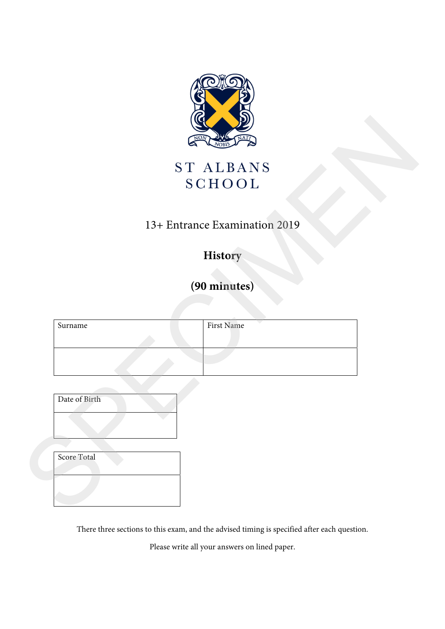

## 13+ Entrance Examination 2019

## **History**

# **(90 minutes)**

|               | NOR                           |
|---------------|-------------------------------|
|               | ST ALBANS<br><b>SCHOOL</b>    |
|               | 13+ Entrance Examination 2019 |
|               | History                       |
|               | (90 minutes)                  |
|               |                               |
| Surname       | First Name                    |
|               |                               |
|               |                               |
| Date of Birth |                               |
|               |                               |
|               |                               |
| Score Total   |                               |
|               |                               |
|               |                               |

| Date of Birth |  |
|---------------|--|
|               |  |

There three sections to this exam, and the advised timing is specified after each question.

Please write all your answers on lined paper.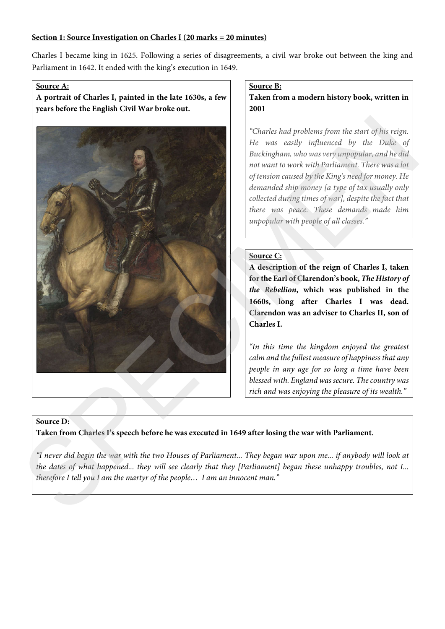#### **Section 1: Source Investigation on Charles I (20 marks = 20 minutes)**

Charles I became king in 1625. Following a series of disagreements, a civil war broke out between the king and Parliament in 1642. It ended with the king's execution in 1649.

#### **Source A:**

**A portrait of Charles I, painted in the late 1630s, a few years before the English Civil War broke out.** 



#### **Source B:**

**Taken from a modern history book, written in 2001** 

*"Charles had problems from the start of his reign. He was easily influenced by the Duke of Buckingham, who was very unpopular, and he did not want to work with Parliament. There was a lot of tension caused by the King's need for money. He demanded ship money [a type of tax usually only collected during times of war], despite the fact that there was peace. These demands made him unpopular with people of all classes."* 

#### **Source C:**

**A description of the reign of Charles I, taken for the Earl of Clarendon's book,** *The History of the Rebellion***, which was published in the 1660s, long after Charles I was dead. Clarendon was an adviser to Charles II, son of Charles I.** 

*"In this time the kingdom enjoyed the greatest calm and the fullest measure of happiness that any people in any age for so long a time have been blessed with. England was secure. The country was rich and was enjoying the pleasure of its wealth."* 

#### **Source D:**

**Taken from Charles I's speech before he was executed in 1649 after losing the war with Parliament.** 

*"I never did begin the war with the two Houses of Parliament... They began war upon me... if anybody will look at the dates of what happened... they will see clearly that they [Parliament] began these unhappy troubles, not I... therefore I tell you I am the martyr of the people… I am an innocent man."*